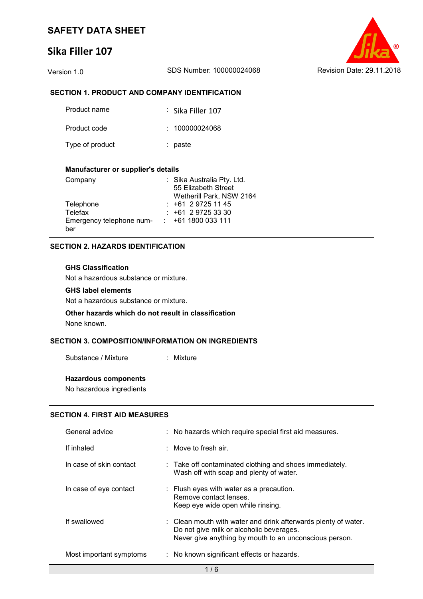# **Sika Filler 107**



## **SECTION 1. PRODUCT AND COMPANY IDENTIFICATION**

| Product name    | $\frac{1}{2}$ Sika Filler 107 |
|-----------------|-------------------------------|
| Product code    | : 100000024068                |
| Type of product | : paste                       |

### **Manufacturer or supplier's details**

| Company                  | : Sika Australia Pty. Ltd. |
|--------------------------|----------------------------|
|                          | 55 Elizabeth Street        |
|                          | Wetherill Park, NSW 2164   |
| Telephone                | $: +61297251145$           |
| Telefax                  | $: +61297253330$           |
| Emergency telephone num- | $: +611800033111$          |
| ber                      |                            |

## **SECTION 2. HAZARDS IDENTIFICATION**

## **GHS Classification**

Not a hazardous substance or mixture.

## **GHS label elements**

Not a hazardous substance or mixture.

## **Other hazards which do not result in classification** None known.

## **SECTION 3. COMPOSITION/INFORMATION ON INGREDIENTS**

Substance / Mixture : Mixture

## **Hazardous components**

No hazardous ingredients

## **SECTION 4. FIRST AID MEASURES**

| General advice          | : No hazards which require special first aid measures.                                                                                                               |
|-------------------------|----------------------------------------------------------------------------------------------------------------------------------------------------------------------|
| If inhaled              | : Move to fresh air.                                                                                                                                                 |
| In case of skin contact | : Take off contaminated clothing and shoes immediately.<br>Wash off with soap and plenty of water.                                                                   |
| In case of eye contact  | : Flush eyes with water as a precaution.<br>Remove contact lenses.<br>Keep eye wide open while rinsing.                                                              |
| If swallowed            | : Clean mouth with water and drink afterwards plenty of water.<br>Do not give milk or alcoholic beverages.<br>Never give anything by mouth to an unconscious person. |
| Most important symptoms | : No known significant effects or hazards.                                                                                                                           |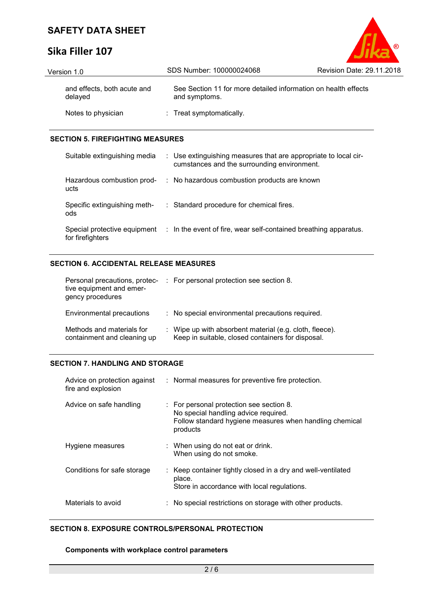# **Sika Filler 107**

| Version 1.0                            | SDS Number: 100000024068                                                        | Revision Date: 29.11.2018 |
|----------------------------------------|---------------------------------------------------------------------------------|---------------------------|
| and effects, both acute and<br>delayed | See Section 11 for more detailed information on health effects<br>and symptoms. |                           |
| Notes to physician                     | : Treat symptomatically.                                                        |                           |

 $\circ$ 

## **SECTION 5. FIREFIGHTING MEASURES**

| Suitable extinguishing media                     | : Use extinguishing measures that are appropriate to local cir-<br>cumstances and the surrounding environment. |
|--------------------------------------------------|----------------------------------------------------------------------------------------------------------------|
| Hazardous combustion prod-<br>ucts               | : No hazardous combustion products are known                                                                   |
| Specific extinguishing meth-<br>ods              | : Standard procedure for chemical fires.                                                                       |
| Special protective equipment<br>for firefighters | : In the event of fire, wear self-contained breathing apparatus.                                               |

## **SECTION 6. ACCIDENTAL RELEASE MEASURES**

| Personal precautions, protec-<br>tive equipment and emer-<br>gency procedures | : For personal protection see section 8.                                                                     |
|-------------------------------------------------------------------------------|--------------------------------------------------------------------------------------------------------------|
| Environmental precautions                                                     | : No special environmental precautions required.                                                             |
| Methods and materials for<br>containment and cleaning up                      | : Wipe up with absorbent material (e.g. cloth, fleece).<br>Keep in suitable, closed containers for disposal. |

## **SECTION 7. HANDLING AND STORAGE**

| Advice on protection against<br>fire and explosion | : Normal measures for preventive fire protection.                                                                                                       |
|----------------------------------------------------|---------------------------------------------------------------------------------------------------------------------------------------------------------|
| Advice on safe handling                            | : For personal protection see section 8.<br>No special handling advice required.<br>Follow standard hygiene measures when handling chemical<br>products |
| Hygiene measures                                   | : When using do not eat or drink.<br>When using do not smoke.                                                                                           |
| Conditions for safe storage                        | : Keep container tightly closed in a dry and well-ventilated<br>place.<br>Store in accordance with local regulations.                                   |
| Materials to avoid                                 | No special restrictions on storage with other products.                                                                                                 |

## **SECTION 8. EXPOSURE CONTROLS/PERSONAL PROTECTION**

## **Components with workplace control parameters**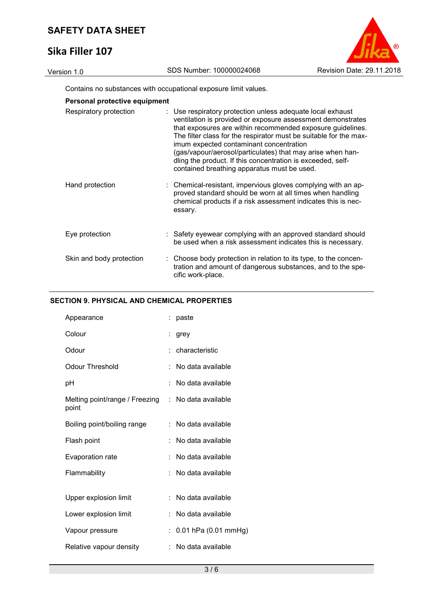# **Sika Filler 107**



Contains no substances with occupational exposure limit values.

|  | Personal protective equipment |  |
|--|-------------------------------|--|

| Respiratory protection   | : Use respiratory protection unless adequate local exhaust<br>ventilation is provided or exposure assessment demonstrates<br>that exposures are within recommended exposure guidelines.<br>The filter class for the respirator must be suitable for the max-<br>imum expected contaminant concentration<br>(gas/vapour/aerosol/particulates) that may arise when han-<br>dling the product. If this concentration is exceeded, self-<br>contained breathing apparatus must be used. |
|--------------------------|-------------------------------------------------------------------------------------------------------------------------------------------------------------------------------------------------------------------------------------------------------------------------------------------------------------------------------------------------------------------------------------------------------------------------------------------------------------------------------------|
| Hand protection          | : Chemical-resistant, impervious gloves complying with an ap-<br>proved standard should be worn at all times when handling<br>chemical products if a risk assessment indicates this is nec-<br>essary.                                                                                                                                                                                                                                                                              |
| Eye protection           | : Safety eyewear complying with an approved standard should<br>be used when a risk assessment indicates this is necessary.                                                                                                                                                                                                                                                                                                                                                          |
| Skin and body protection | : Choose body protection in relation to its type, to the concen-<br>tration and amount of dangerous substances, and to the spe-<br>cific work-place.                                                                                                                                                                                                                                                                                                                                |

## **SECTION 9. PHYSICAL AND CHEMICAL PROPERTIES**

| Appearance                              |    | paste                 |
|-----------------------------------------|----|-----------------------|
| Colour                                  |    | grey                  |
| Odour                                   |    | characteristic        |
| Odour Threshold                         | t. | No data available     |
| рH                                      |    | No data available     |
| Melting point/range / Freezing<br>point |    | $:$ No data available |
| Boiling point/boiling range             | t. | No data available     |
| Flash point                             |    | No data available     |
| Evaporation rate                        |    | No data available     |
| Flammability                            |    | No data available     |
| Upper explosion limit                   | t. | No data available     |
|                                         |    |                       |
| Lower explosion limit                   |    | No data available     |
| Vapour pressure                         | ÷  | 0.01 hPa (0.01 mmHg)  |
| Relative vapour density                 | t. | No data available     |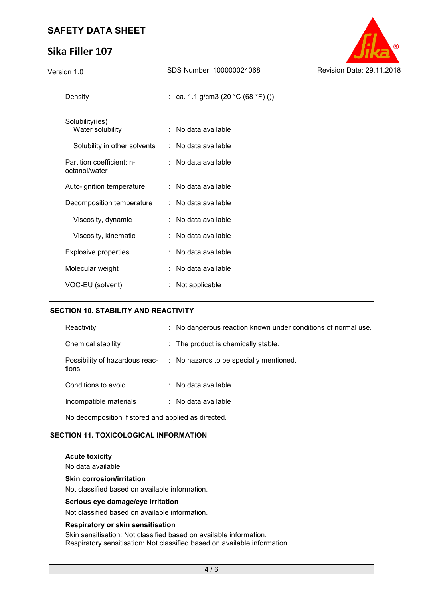# **Sika Filler 107**



| version 1.0                                | ODO NUMBEL TUUUUUL <del>I</del> UUU | $15500011$ Dato. 20.11 |
|--------------------------------------------|-------------------------------------|------------------------|
| Density                                    | : ca. 1.1 g/cm3 (20 °C (68 °F) ())  |                        |
| Solubility(ies)<br>Water solubility        | : No data available                 |                        |
| Solubility in other solvents               | : No data available                 |                        |
| Partition coefficient: n-<br>octanol/water | : No data available                 |                        |
| Auto-ignition temperature                  | : No data available                 |                        |
| Decomposition temperature                  | : No data available                 |                        |
| Viscosity, dynamic                         | : No data available                 |                        |
| Viscosity, kinematic                       | : No data available                 |                        |
| <b>Explosive properties</b>                | : No data available                 |                        |
| Molecular weight                           | : No data available                 |                        |
| VOC-EU (solvent)                           | : Not applicable                    |                        |

## **SECTION 10. STABILITY AND REACTIVITY**

| Reactivity                                          |  | : No dangerous reaction known under conditions of normal use. |  |
|-----------------------------------------------------|--|---------------------------------------------------------------|--|
| Chemical stability                                  |  | : The product is chemically stable.                           |  |
| Possibility of hazardous reac-<br>tions             |  | : No hazards to be specially mentioned.                       |  |
| Conditions to avoid                                 |  | $\therefore$ No data available                                |  |
| Incompatible materials                              |  | $\therefore$ No data available                                |  |
| No decomposition if stored and applied as directed. |  |                                                               |  |

## **SECTION 11. TOXICOLOGICAL INFORMATION**

#### **Acute toxicity**

No data available

### **Skin corrosion/irritation**

Not classified based on available information.

## **Serious eye damage/eye irritation**

Not classified based on available information.

## **Respiratory or skin sensitisation**

Skin sensitisation: Not classified based on available information. Respiratory sensitisation: Not classified based on available information.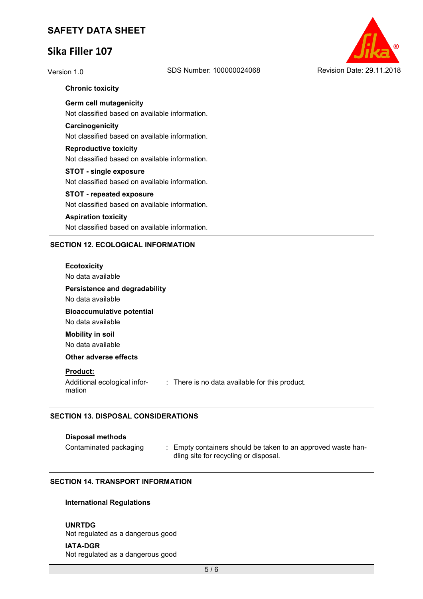# **Sika Filler 107**



## **Chronic toxicity**

**Germ cell mutagenicity**  Not classified based on available information.

## **Carcinogenicity**

Not classified based on available information.

# **Reproductive toxicity**

Not classified based on available information.

## **STOT - single exposure**

Not classified based on available information.

## **STOT - repeated exposure**

Not classified based on available information.

## **Aspiration toxicity**

Not classified based on available information.

## **SECTION 12. ECOLOGICAL INFORMATION**

### **Ecotoxicity**

No data available

## **Persistence and degradability**

No data available

# **Bioaccumulative potential**

No data available **Mobility in soil** 

No data available

## **Other adverse effects**

## **Product:**

Additional ecological information : There is no data available for this product.

## **SECTION 13. DISPOSAL CONSIDERATIONS**

## **Disposal methods**

Contaminated packaging : Empty containers should be taken to an approved waste handling site for recycling or disposal.

## **SECTION 14. TRANSPORT INFORMATION**

## **International Regulations**

## **UNRTDG**

Not regulated as a dangerous good

## **IATA-DGR**

Not regulated as a dangerous good